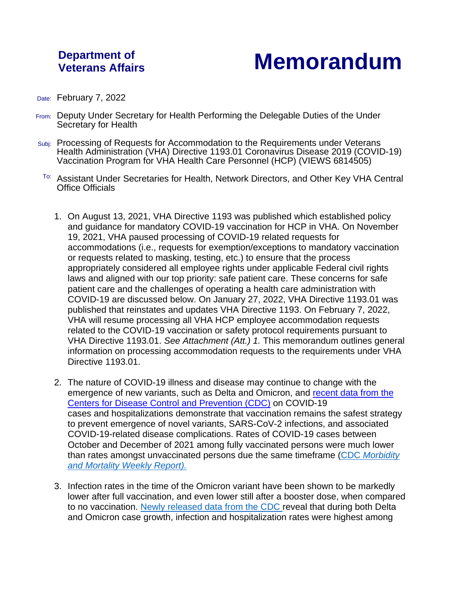## **Department of**

## **Veterans Affairs Memorandum**

- Date: February 7, 2022
- From: Deputy Under Secretary for Health Performing the Delegable Duties of the Under Secretary for Health
- Subj: Processing of Requests for Accommodation to the Requirements under Veterans Health Administration (VHA) Directive 1193.01 Coronavirus Disease 2019 (COVID-19) Vaccination Program for VHA Health Care Personnel (HCP) (VIEWS 6814505)
- To: Assistant Under Secretaries for Health, Network Directors, and Other Key VHA Central Office Officials
	- 1. On August 13, 2021, VHA Directive 1193 was published which established policy and guidance for mandatory COVID-19 vaccination for HCP in VHA. On November 19, 2021, VHA paused processing of COVID-19 related requests for accommodations (i.e., requests for exemption/exceptions to mandatory vaccination or requests related to masking, testing, etc.) to ensure that the process appropriately considered all employee rights under applicable Federal civil rights laws and aligned with our top priority: safe patient care. These concerns for safe patient care and the challenges of operating a health care administration with COVID-19 are discussed below. On January 27, 2022, VHA Directive 1193.01 was published that reinstates and updates VHA Directive 1193. On February 7, 2022, VHA will resume processing all VHA HCP employee accommodation requests related to the COVID-19 vaccination or safety protocol requirements pursuant to VHA Directive 1193.01. *See Attachment (Att.) 1.* This memorandum outlines general information on processing accommodation requests to the requirements under VHA Directive 1193.01.
	- 2. The nature of COVID-19 illness and disease may continue to change with the emergence of new variants, such as Delta and Omicron, and [recent data from the](https://www.cdc.gov/mmwr/volumes/71/wr/mm7104e1.htm?s_cid=mm7104e1_w)  [Centers for Disease Control and Prevention \(CDC\)](https://www.cdc.gov/mmwr/volumes/71/wr/mm7104e1.htm?s_cid=mm7104e1_w) on COVID-19 cases and hospitalizations demonstrate that vaccination remains the safest strategy to prevent emergence of novel variants, SARS-CoV-2 infections, and associated COVID-19-related disease complications. Rates of COVID-19 cases between October and December of 2021 among fully vaccinated persons were much lower than rates amongst unvaccinated persons due the same timeframe (CDC *[Morbidity](https://www.cdc.gov/mmwr/volumes/71/wr/mm7104e2.htm?s_cid=mm7104e2_w)  [and Mortality Weekly Report\)](https://www.cdc.gov/mmwr/volumes/71/wr/mm7104e2.htm?s_cid=mm7104e2_w).*
	- 3. Infection rates in the time of the Omicron variant have been shown to be markedly lower after full vaccination, and even lower still after a booster dose, when compared to no vaccination. [Newly released data from the CDC](https://www.cdc.gov/mmwr/volumes/71/wr/mm7105e1.htm?s_cid=mm7105e1_x) reveal that during both Delta and Omicron case growth, infection and hospitalization rates were highest among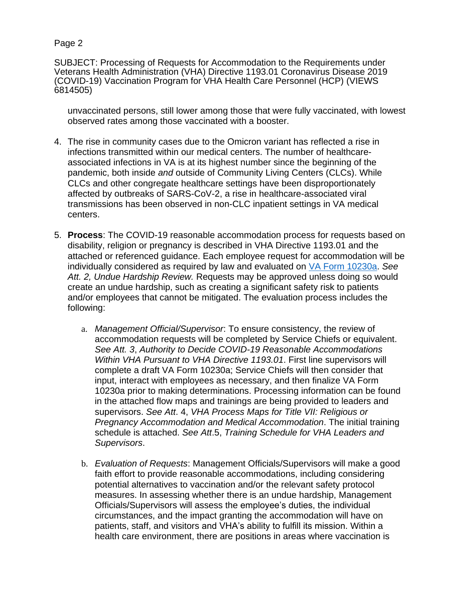Page 2

SUBJECT: Processing of Requests for Accommodation to the Requirements under Veterans Health Administration (VHA) Directive 1193.01 Coronavirus Disease 2019 (COVID-19) Vaccination Program for VHA Health Care Personnel (HCP) (VIEWS 6814505)

unvaccinated persons, still lower among those that were fully vaccinated, with lowest observed rates among those vaccinated with a booster.

- 4. The rise in community cases due to the Omicron variant has reflected a rise in infections transmitted within our medical centers. The number of healthcareassociated infections in VA is at its highest number since the beginning of the pandemic, both inside *and* outside of Community Living Centers (CLCs). While CLCs and other congregate healthcare settings have been disproportionately affected by outbreaks of SARS-CoV-2, a rise in healthcare-associated viral transmissions has been observed in non-CLC inpatient settings in VA medical centers.
- 5. **Process**: The COVID-19 reasonable accommodation process for requests based on disability, religion or pregnancy is described in VHA Directive 1193.01 and the attached or referenced guidance. Each employee request for accommodation will be individually considered as required by law and evaluated on [VA Form 10230a.](http://vaww.va.gov/vaforms/va/pdf/VA10230a.pdf) *See Att. 2, Undue Hardship Review.* Requests may be approved unless doing so would create an undue hardship, such as creating a significant safety risk to patients and/or employees that cannot be mitigated. The evaluation process includes the following:
	- a. *Management Official/Supervisor*: To ensure consistency, the review of accommodation requests will be completed by Service Chiefs or equivalent. *See Att. 3*, *Authority to Decide COVID-19 Reasonable Accommodations Within VHA Pursuant to VHA Directive 1193.01*. First line supervisors will complete a draft VA Form 10230a; Service Chiefs will then consider that input, interact with employees as necessary, and then finalize VA Form 10230a prior to making determinations. Processing information can be found in the attached flow maps and trainings are being provided to leaders and supervisors. *See Att*. 4, *VHA Process Maps for Title VII: Religious or Pregnancy Accommodation and Medical Accommodation*. The initial training schedule is attached. *See Att*.5, *Training Schedule for VHA Leaders and Supervisors*.
	- b. *Evaluation of Requests*: Management Officials/Supervisors will make a good faith effort to provide reasonable accommodations, including considering potential alternatives to vaccination and/or the relevant safety protocol measures. In assessing whether there is an undue hardship, Management Officials/Supervisors will assess the employee's duties, the individual circumstances, and the impact granting the accommodation will have on patients, staff, and visitors and VHA's ability to fulfill its mission. Within a health care environment, there are positions in areas where vaccination is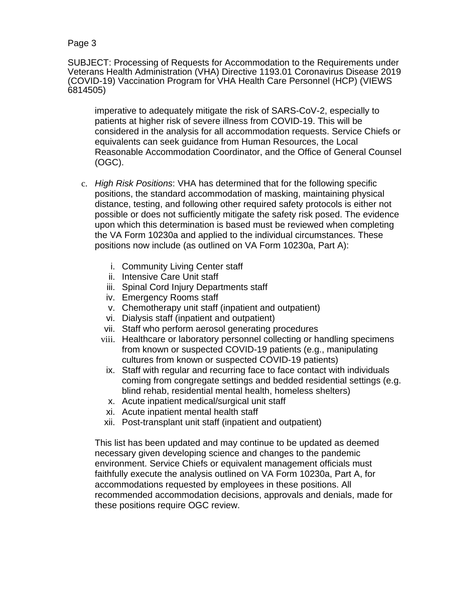Page 3

SUBJECT: Processing of Requests for Accommodation to the Requirements under Veterans Health Administration (VHA) Directive 1193.01 Coronavirus Disease 2019 (COVID-19) Vaccination Program for VHA Health Care Personnel (HCP) (VIEWS 6814505)

imperative to adequately mitigate the risk of SARS-CoV-2, especially to patients at higher risk of severe illness from COVID-19. This will be considered in the analysis for all accommodation requests. Service Chiefs or equivalents can seek guidance from Human Resources, the Local Reasonable Accommodation Coordinator, and the Office of General Counsel (OGC).

- c. *High Risk Positions*: VHA has determined that for the following specific positions, the standard accommodation of masking, maintaining physical distance, testing, and following other required safety protocols is either not possible or does not sufficiently mitigate the safety risk posed. The evidence upon which this determination is based must be reviewed when completing the VA Form 10230a and applied to the individual circumstances. These positions now include (as outlined on VA Form 10230a, Part A):
	- i. Community Living Center staff
	- ii. Intensive Care Unit staff
	- iii. Spinal Cord Injury Departments staff
	- iv. Emergency Rooms staff
	- v. Chemotherapy unit staff (inpatient and outpatient)
	- vi. Dialysis staff (inpatient and outpatient)
	- vii. Staff who perform aerosol generating procedures
	- viii. Healthcare or laboratory personnel collecting or handling specimens from known or suspected COVID-19 patients (e.g., manipulating cultures from known or suspected COVID-19 patients)
		- ix. Staff with regular and recurring face to face contact with individuals coming from congregate settings and bedded residential settings (e.g. blind rehab, residential mental health, homeless shelters)
		- x. Acute inpatient medical/surgical unit staff
		- xi. Acute inpatient mental health staff
	- xii. Post-transplant unit staff (inpatient and outpatient)

This list has been updated and may continue to be updated as deemed necessary given developing science and changes to the pandemic environment. Service Chiefs or equivalent management officials must faithfully execute the analysis outlined on VA Form 10230a, Part A, for accommodations requested by employees in these positions. All recommended accommodation decisions, approvals and denials, made for these positions require OGC review.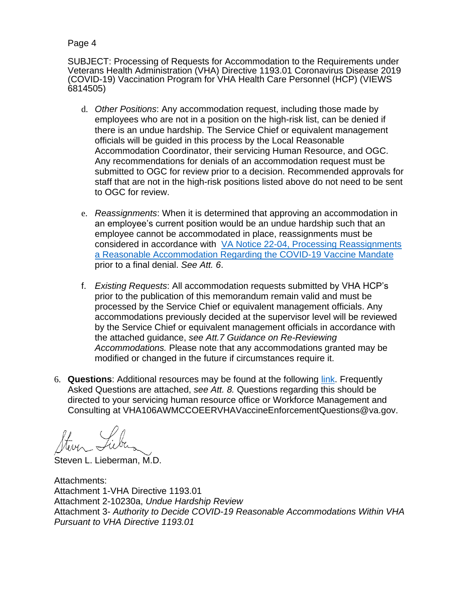Page 4

SUBJECT: Processing of Requests for Accommodation to the Requirements under Veterans Health Administration (VHA) Directive 1193.01 Coronavirus Disease 2019 (COVID-19) Vaccination Program for VHA Health Care Personnel (HCP) (VIEWS 6814505)

- d. *Other Positions*: Any accommodation request, including those made by employees who are not in a position on the high-risk list, can be denied if there is an undue hardship. The Service Chief or equivalent management officials will be guided in this process by the Local Reasonable Accommodation Coordinator, their servicing Human Resource, and OGC. Any recommendations for denials of an accommodation request must be submitted to OGC for review prior to a decision. Recommended approvals for staff that are not in the high-risk positions listed above do not need to be sent to OGC for review.
- e. *Reassignments*: When it is determined that approving an accommodation in an employee's current position would be an undue hardship such that an employee cannot be accommodated in place, reassignments must be considered in accordance with [VA Notice 22-04, Processing Reassignments](https://www.va.gov/vapubs/Search_action.cfm?formno=&tkey=&dType=5&SortBy=issue&sort=desc&oid=0)  [a Reasonable Accommodation Regarding the COVID-19 Vaccine Mandate](https://www.va.gov/vapubs/Search_action.cfm?formno=&tkey=&dType=5&SortBy=issue&sort=desc&oid=0) prior to a final denial. *See Att. 6*.
- f. *Existing Requests*: All accommodation requests submitted by VHA HCP's prior to the publication of this memorandum remain valid and must be processed by the Service Chief or equivalent management officials. Any accommodations previously decided at the supervisor level will be reviewed by the Service Chief or equivalent management officials in accordance with the attached guidance, *see Att.7 Guidance on Re-Reviewing Accommodations.* Please note that any accommodations granted may be modified or changed in the future if circumstances require it.
- 6. **Questions**: Additional resources may be found at the following [link.](https://dvagov.sharepoint.com/sites/VACOVHADUSHOM/HOC/JOC/vaccine/SitePages/Resources.aspx) Frequently Asked Questions are attached, *see Att. 8.* Questions regarding this should be directed to your servicing human resource office or Workforce Management and Consulting at VHA106AWMCCOEERVHAVaccineEnforcementQuestions@va.gov.

Steven L. Lieberman, M.D.

Attachments: Attachment 1-VHA Directive 1193.01 Attachment 2-10230a, *Undue Hardship Review* Attachment 3- *Authority to Decide COVID-19 Reasonable Accommodations Within VHA Pursuant to VHA Directive 1193.01*